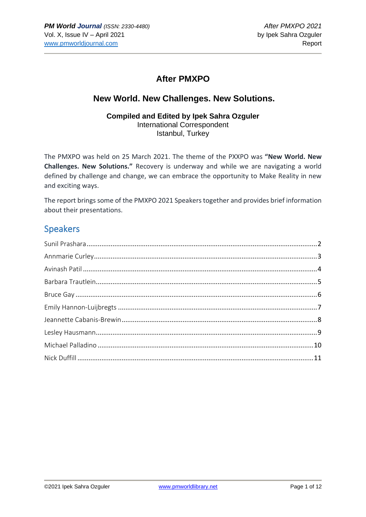### **After PMXPO**

### **New World. New Challenges. New Solutions.**

#### **Compiled and Edited by Ipek Sahra Ozguler** International Correspondent Istanbul, Turkey

The PMXPO was held on 25 March 2021. The theme of the PXXPO was **"New World. New Challenges. New Solutions."** Recovery is underway and while we are navigating a world defined by challenge and change, we can embrace the opportunity to Make Reality in new and exciting ways.

The report brings some of the PMXPO 2021 Speakers together and provides brief information about their presentations.

## Speakers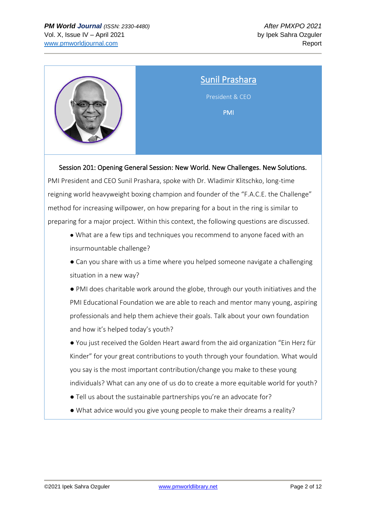

### <span id="page-1-0"></span>Sunil Prashara

President & CEO

PMI

Session 201: Opening General Session: New World. New Challenges. New Solutions.

PMI President and CEO Sunil Prashara, spoke with Dr. Wladimir Klitschko, long-time reigning world heavyweight boxing champion and founder of the "F.A.C.E. the Challenge" method for increasing willpower, on how preparing for a bout in the ring is similar to preparing for a major project. Within this context, the following questions are discussed.

**●** What are a few tips and techniques you recommend to anyone faced with an insurmountable challenge?

● Can you share with us a time where you helped someone navigate a challenging situation in a new way?

● PMI does charitable work around the globe, through our youth initiatives and the PMI Educational Foundation we are able to reach and mentor many young, aspiring professionals and help them achieve their goals. Talk about your own foundation and how it's helped today's youth?

● You just received the Golden Heart award from the aid organization "Ein Herz für Kinder" for your great contributions to youth through your foundation. What would you say is the most important contribution/change you make to these young individuals? What can any one of us do to create a more equitable world for youth?

● Tell us about the sustainable partnerships you're an advocate for?

● What advice would you give young people to make their dreams a reality?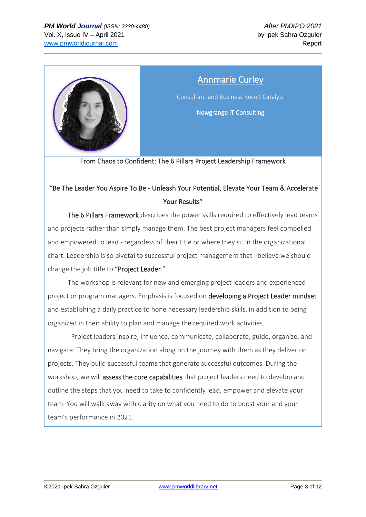

# Annmarie Curley

<span id="page-2-0"></span>Consultant and Business Result Catalyst

Newgrange IT Consulting

From Chaos to Confident: The 6 Pillars Project Leadership Framework

### "Be The Leader You Aspire To Be - Unleash Your Potential, Elevate Your Team & Accelerate Your Results"

 The 6 Pillars Framework describes the power skills required to effectively lead teams and projects rather than simply manage them. The best project managers feel compelled and empowered to lead - regardless of their title or where they sit in the organizational chart. Leadership is so pivotal to successful project management that I believe we should change the job title to "Project Leader."

 The workshop is relevant for new and emerging project leaders and experienced project or program managers. Emphasis is focused on developing a Project Leader mindset and establishing a daily practice to hone necessary leadership skills, in addition to being organized in their ability to plan and manage the required work activities.

 Project leaders inspire, influence, communicate, collaborate, guide, organize, and navigate. They bring the organization along on the journey with them as they deliver on projects. They build successful teams that generate successful outcomes. During the workshop, we will assess the core capabilities that project leaders need to develop and outline the steps that you need to take to confidently lead, empower and elevate your team. You will walk away with clarity on what you need to do to boost your and your team's performance in 2021.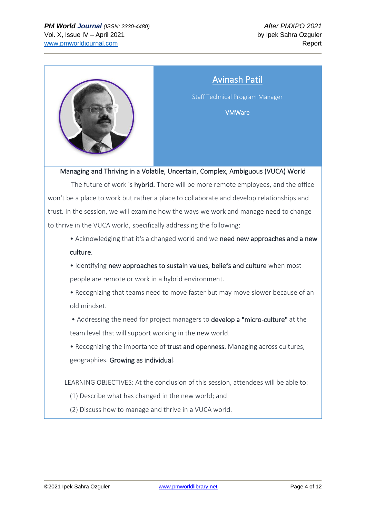

# Avinash Patil

<span id="page-3-0"></span>Staff Technical Program Manager

VMWare

Managing and Thriving in a Volatile, Uncertain, Complex, Ambiguous (VUCA) World

The future of work is hybrid. There will be more remote employees, and the office won't be a place to work but rather a place to collaborate and develop relationships and trust. In the session, we will examine how the ways we work and manage need to change to thrive in the VUCA world, specifically addressing the following:

• Acknowledging that it's a changed world and we need new approaches and a new culture.

• Identifying new approaches to sustain values, beliefs and culture when most people are remote or work in a hybrid environment.

• Recognizing that teams need to move faster but may move slower because of an old mindset.

• Addressing the need for project managers to develop a "micro-culture" at the team level that will support working in the new world.

• Recognizing the importance of trust and openness. Managing across cultures, geographies. Growing as individual.

LEARNING OBJECTIVES: At the conclusion of this session, attendees will be able to:

- (1) Describe what has changed in the new world; and
- (2) Discuss how to manage and thrive in a VUCA world.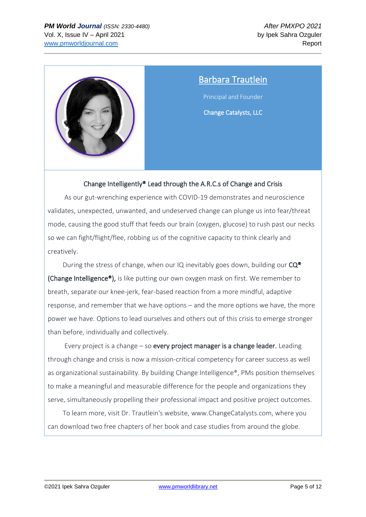

## <span id="page-4-0"></span>Barbara Trautlein

Principal and Founder

Change Catalysts, LLC

#### Change Intelligently® Lead through the A.R.C.s of Change and Crisis

 As our gut-wrenching experience with COVID-19 demonstrates and neuroscience validates, unexpected, unwanted, and undeserved change can plunge us into fear/threat mode, causing the good stuff that feeds our brain (oxygen, glucose) to rush past our necks so we can fight/flight/flee, robbing us of the cognitive capacity to think clearly and creatively.

During the stress of change, when our IQ inevitably goes down, building our  $CQ^{\circ}$ (Change Intelligence®), is like putting our own oxygen mask on first. We remember to breath, separate our knee-jerk, fear-based reaction from a more mindful, adaptive response, and remember that we have options – and the more options we have, the more power we have. Options to lead ourselves and others out of this crisis to emerge stronger than before, individually and collectively.

Every project is a change  $-$  so every project manager is a change leader. Leading through change and crisis is now a mission-critical competency for career success as well as organizational sustainability. By building Change Intelligence®, PMs position themselves to make a meaningful and measurable difference for the people and organizations they serve, simultaneously propelling their professional impact and positive project outcomes.

 To learn more, visit Dr. Trautlein's website, [www.ChangeCatalysts.com,](http://www.changecatalysts.com/) where you can download two free chapters of her book and case studies from around the globe.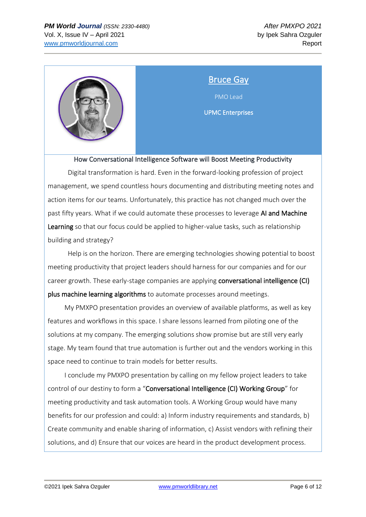

### <span id="page-5-0"></span>Bruce Gay

PMO Lead

UPMC Enterprises

How Conversational Intelligence Software will Boost Meeting Productivity

 Digital transformation is hard. Even in the forward-looking profession of project management, we spend countless hours documenting and distributing meeting notes and action items for our teams. Unfortunately, this practice has not changed much over the past fifty years. What if we could automate these processes to leverage AI and Machine Learning so that our focus could be applied to higher-value tasks, such as relationship building and strategy?

 Help is on the horizon. There are emerging technologies showing potential to boost meeting productivity that project leaders should harness for our companies and for our career growth. These early-stage companies are applying conversational intelligence (CI) plus machine learning algorithms to automate processes around meetings.

 My PMXPO presentation provides an overview of available platforms, as well as key features and workflows in this space. I share lessons learned from piloting one of the solutions at my company. The emerging solutions show promise but are still very early stage. My team found that true automation is further out and the vendors working in this space need to continue to train models for better results.

 I conclude my PMXPO presentation by calling on my fellow project leaders to take control of our destiny to form a "Conversational Intelligence (CI) Working Group" for meeting productivity and task automation tools. A Working Group would have many benefits for our profession and could: a) Inform industry requirements and standards, b) Create community and enable sharing of information, c) Assist vendors with refining their solutions, and d) Ensure that our voices are heard in the product development process.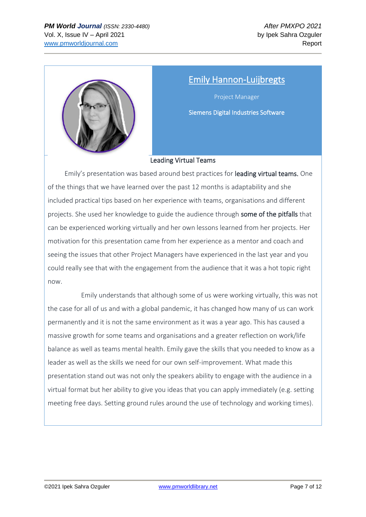

### <span id="page-6-0"></span>Emily Hannon-Luijbregts

Project Manager Siemens Digital Industries Software

#### Leading Virtual Teams

 Emily's presentation was based around best practices for leading virtual teams. One of the things that we have learned over the past 12 months is adaptability and she included practical tips based on her experience with teams, organisations and different projects. She used her knowledge to guide the audience through some of the pitfalls that can be experienced working virtually and her own lessons learned from her projects. Her motivation for this presentation came from her experience as a mentor and coach and seeing the issues that other Project Managers have experienced in the last year and you could really see that with the engagement from the audience that it was a hot topic right now.

 Emily understands that although some of us were working virtually, this was not the case for all of us and with a global pandemic, it has changed how many of us can work permanently and it is not the same environment as it was a year ago. This has caused a massive growth for some teams and organisations and a greater reflection on work/life balance as well as teams mental health. Emily gave the skills that you needed to know as a leader as well as the skills we need for our own self-improvement. What made this presentation stand out was not only the speakers ability to engage with the audience in a virtual format but her ability to give you ideas that you can apply immediately (e.g. setting meeting free days. Setting ground rules around the use of technology and working times).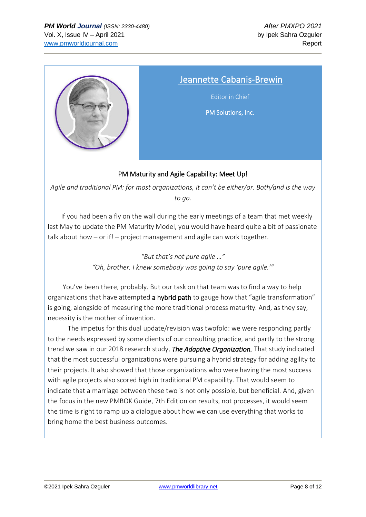

### <span id="page-7-0"></span>Jeannette Cabanis-Brewin

Editor in Chief

PM Solutions, Inc.

#### PM Maturity and Agile Capability: Meet Up!

*Agile and traditional PM: for most organizations, it can't be either/or. Both/and is the way to go.*

 If you had been a fly on the wall during the early meetings of a team that met weekly last May to update the PM Maturity Model, you would have heard quite a bit of passionate talk about how – or if! – project management and agile can work together.

> *"But that's not pure agile …" "Oh, brother. I knew somebody was going to say 'pure agile.'"*

 You've been there, probably. But our task on that team was to find a way to help organizations that have attempted a hybrid path to gauge how that "agile transformation" is going, alongside of measuring the more traditional process maturity. And, as they say, necessity is the mother of invention.

 The impetus for this dual update/revision was twofold: we were responding partly to the needs expressed by some clients of our consulting practice, and partly to the strong trend we saw in our 2018 research study, *The Adaptive Organization.* That study indicated that the most successful organizations were pursuing a hybrid strategy for adding agility to their projects. It also showed that those organizations who were having the most success with agile projects also scored high in traditional PM capability. That would seem to indicate that a marriage between these two is not only possible, but beneficial. And, given the focus in the new PMBOK Guide, 7th Edition on results, not processes, it would seem the time is right to ramp up a dialogue about how we can use everything that works to bring home the best business outcomes.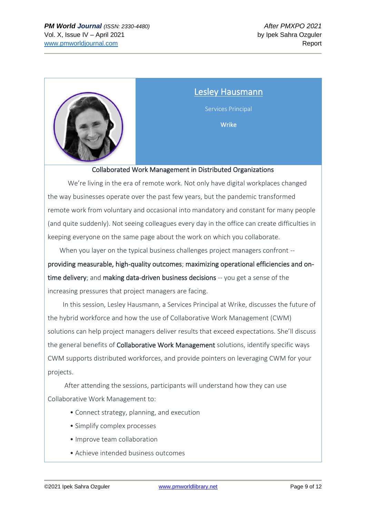

<span id="page-8-0"></span>Lesley Hausmann Services Principal Wrike

#### Collaborated Work Management in Distributed Organizations

 We're living in the era of remote work. Not only have digital workplaces changed the way businesses operate over the past few years, but the pandemic transformed remote work from voluntary and occasional into mandatory and constant for many people (and quite suddenly). Not seeing colleagues every day in the office can create difficulties in keeping everyone on the same page about the work on which you collaborate.

 When you layer on the typical business challenges project managers confront - providing measurable, high-quality outcomes; maximizing operational efficiencies and ontime delivery; and making data-driven business decisions -- you get a sense of the increasing pressures that project managers are facing.

 In this session, Lesley Hausmann, a Services Principal at Wrike, discusses the future of the hybrid workforce and how the use of Collaborative Work Management (CWM) solutions can help project managers deliver results that exceed expectations. She'll discuss the general benefits of Collaborative Work Management solutions, identify specific ways CWM supports distributed workforces, and provide pointers on leveraging CWM for your projects.

 After attending the sessions, participants will understand how they can use Collaborative Work Management to:

- Connect strategy, planning, and execution
- Simplify complex processes
- Improve team collaboration
- Achieve intended business outcomes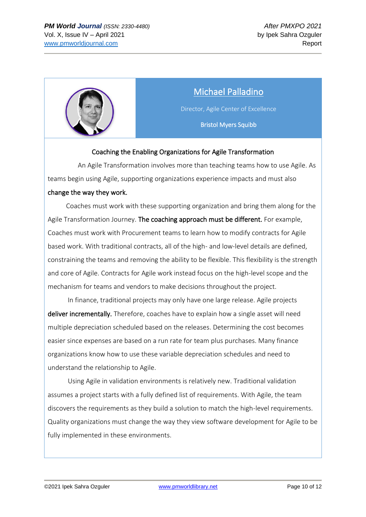

# Michael Palladino

<span id="page-9-0"></span>Director, Agile Center of Excellence

Bristol Myers Squibb

#### Coaching the Enabling Organizations for Agile Transformation

 An Agile Transformation involves more than teaching teams how to use Agile. As teams begin using Agile, supporting organizations experience impacts and must also change the way they work.

 Coaches must work with these supporting organization and bring them along for the Agile Transformation Journey. The coaching approach must be different. For example, Coaches must work with Procurement teams to learn how to modify contracts for Agile based work. With traditional contracts, all of the high- and low-level details are defined, constraining the teams and removing the ability to be flexible. This flexibility is the strength and core of Agile. Contracts for Agile work instead focus on the high-level scope and the mechanism for teams and vendors to make decisions throughout the project.

 In finance, traditional projects may only have one large release. Agile projects deliver incrementally. Therefore, coaches have to explain how a single asset will need multiple depreciation scheduled based on the releases. Determining the cost becomes easier since expenses are based on a run rate for team plus purchases. Many finance organizations know how to use these variable depreciation schedules and need to understand the relationship to Agile.

 Using Agile in validation environments is relatively new. Traditional validation assumes a project starts with a fully defined list of requirements. With Agile, the team discovers the requirements as they build a solution to match the high-level requirements. Quality organizations must change the way they view software development for Agile to be fully implemented in these environments.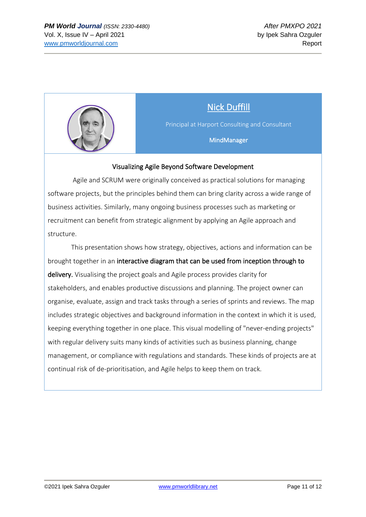

# Nick Duffill

<span id="page-10-0"></span>Principal at Harport Consulting and Consultant

MindManager

#### Visualizing Agile Beyond Software Development

 Agile and SCRUM were originally conceived as practical solutions for managing software projects, but the principles behind them can bring clarity across a wide range of business activities. Similarly, many ongoing business processes such as marketing or recruitment can benefit from strategic alignment by applying an Agile approach and structure.

 This presentation shows how strategy, objectives, actions and information can be brought together in an interactive diagram that can be used from inception through to delivery. Visualising the project goals and Agile process provides clarity for stakeholders, and enables productive discussions and planning. The project owner can organise, evaluate, assign and track tasks through a series of sprints and reviews. The map includes strategic objectives and background information in the context in which it is used, keeping everything together in one place. This visual modelling of "never-ending projects" with regular delivery suits many kinds of activities such as business planning, change management, or compliance with regulations and standards. These kinds of projects are at continual risk of de-prioritisation, and Agile helps to keep them on track.